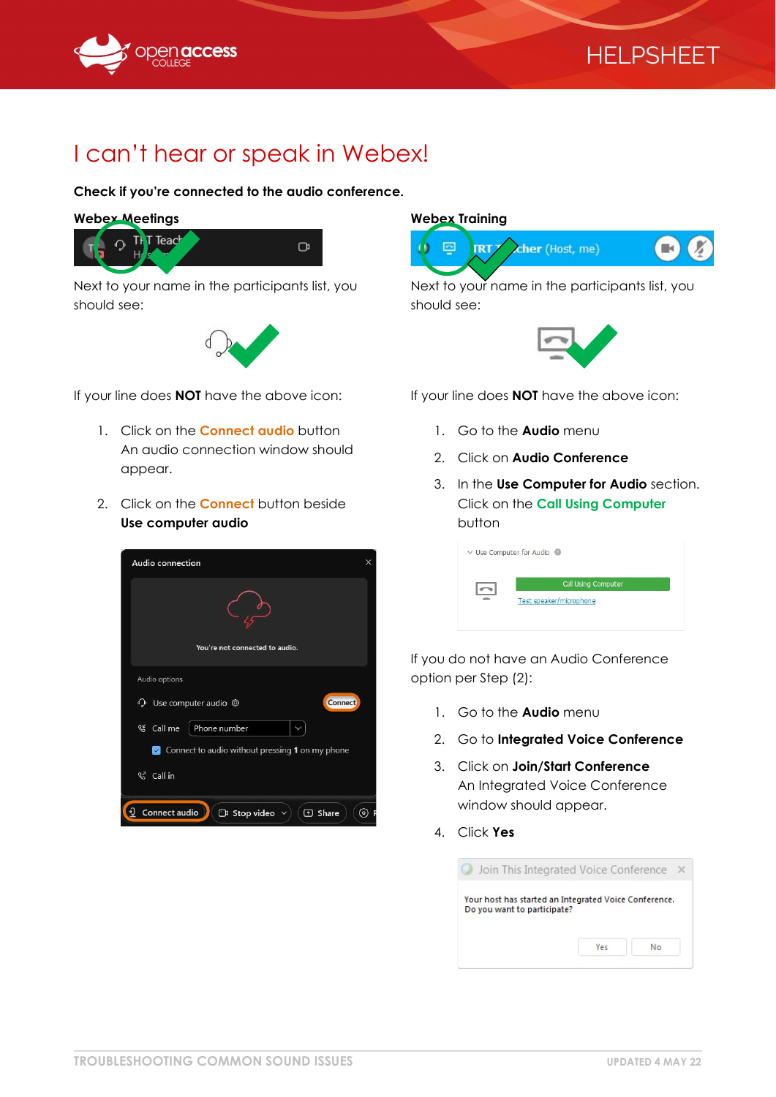

# I can't hear or speak in Webex!

#### Check if you're connected to the audio conference.

#### Webex Meetings



Next to your name in the participants list, you should see:



If your line does **NOT** have the above icon:

- 1. Click on the **Connect audio** button An audio connection window should appear.
- 2. Click on the **Connect** button beside Use computer audio



#### Webex Training



Next to your name in the participants list, you should see:



If your line does **NOT** have the above icon:

- 1. Go to the **Audio** menu
- 2. Click on Audio Conference
- 3. In the Use Computer for Audio section. Click on the Call Using Computer button

| Call Using Computer     |  |
|-------------------------|--|
| Test speaker/microphone |  |

If you do not have an Audio Conference option per Step (2):

- 1. Go to the **Audio** menu
- 2. Go to Integrated Voice Conference
- 3. Click on Join/Start Conference An Integrated Voice Conference window should appear.
- 4. Click Yes

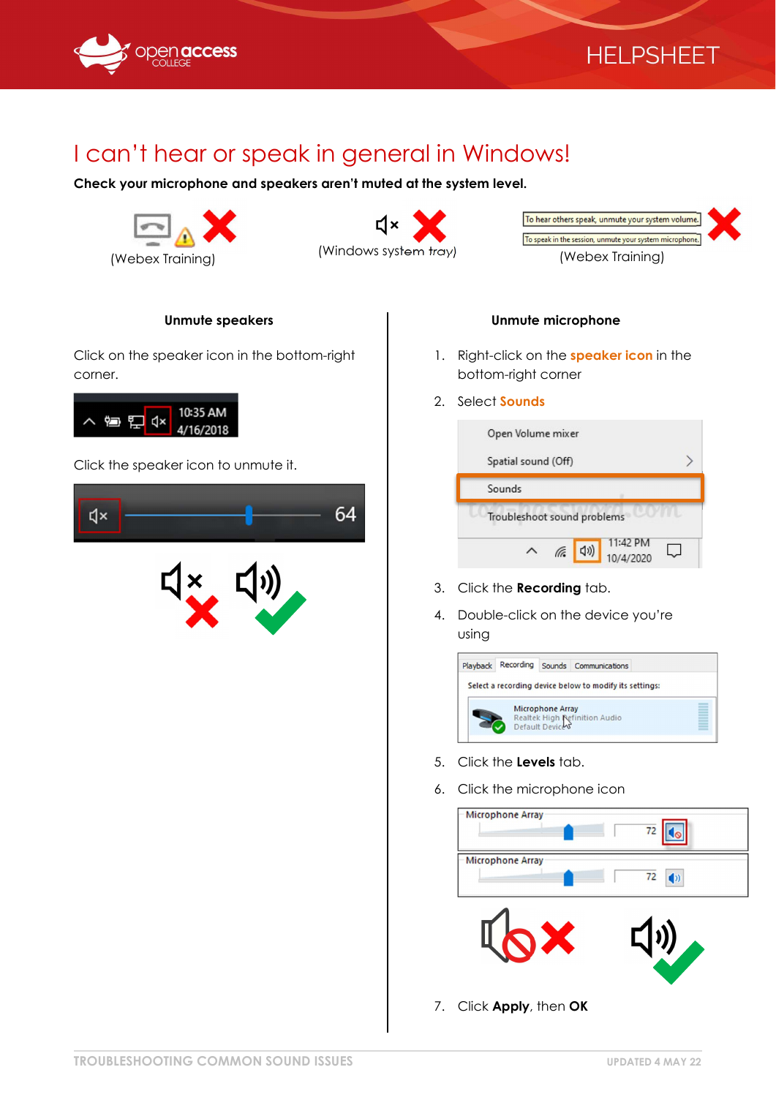



# I can't hear or speak in general in Windows!

Check your microphone and speakers aren't muted at the system level.







#### Unmute speakers

Click on the speaker icon in the bottom-right corner.



Click the speaker icon to unmute it.



### Unmute microphone

- 1. Right-click on the **speaker icon** in the bottom-right corner
- 2. Select **Sounds**

| Open Volume mixer   |                                     |  |
|---------------------|-------------------------------------|--|
| Spatial sound (Off) |                                     |  |
| Sounds              |                                     |  |
|                     | Troubleshoot sound problems         |  |
|                     | 11:42 PM<br>(小)<br>(Fe<br>10/4/2020 |  |

- 3. Click the **Recording** tab.
- 4. Double-click on the device you're using



- 5. Click the Levels tab.
- 6. Click the microphone icon



7. Click Apply, then OK